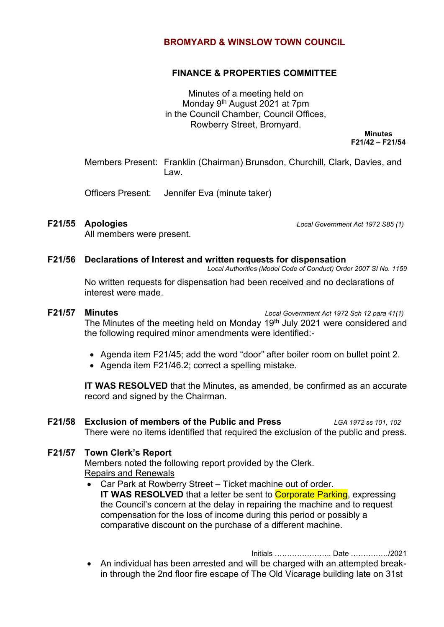#### **BROMYARD & WINSLOW TOWN COUNCIL**

#### **FINANCE & PROPERTIES COMMITTEE**

Minutes of a meeting held on Monday 9<sup>th</sup> August 2021 at 7pm in the Council Chamber, Council Offices, Rowberry Street, Bromyard.

> **Minutes F21/42 – F21/54**

Members Present: Franklin (Chairman) Brunsdon, Churchill, Clark, Davies, and Law.

Officers Present: Jennifer Eva (minute taker)

**F21/55 Apologies** *Local Government Act 1972 S85 (1)*

All members were present.

#### **F21/56 Declarations of Interest and written requests for dispensation**

*Local Authorities (Model Code of Conduct) Order 2007 SI No. 1159*

No written requests for dispensation had been received and no declarations of interest were made.

# **F21/57 Minutes** *Local Government Act 1972 Sch 12 para 41(1)* The Minutes of the meeting held on Monday 19<sup>th</sup> July 2021 were considered and the following required minor amendments were identified:-

- Agenda item F21/45; add the word "door" after boiler room on bullet point 2.
- Agenda item F21/46.2; correct a spelling mistake.

**IT WAS RESOLVED** that the Minutes, as amended, be confirmed as an accurate record and signed by the Chairman.

## **F21/58 Exclusion of members of the Public and Press** *LGA 1972 ss 101, 102* There were no items identified that required the exclusion of the public and press.

### **F21/57 Town Clerk's Report**

Members noted the following report provided by the Clerk. Repairs and Renewals

• Car Park at Rowberry Street – Ticket machine out of order. **IT WAS RESOLVED** that a letter be sent to **Corporate Parking**, expressing the Council's concern at the delay in repairing the machine and to request compensation for the loss of income during this period or possibly a comparative discount on the purchase of a different machine.

Initials ………………….. Date ……………/2021

• An individual has been arrested and will be charged with an attempted breakin through the 2nd floor fire escape of The Old Vicarage building late on 31st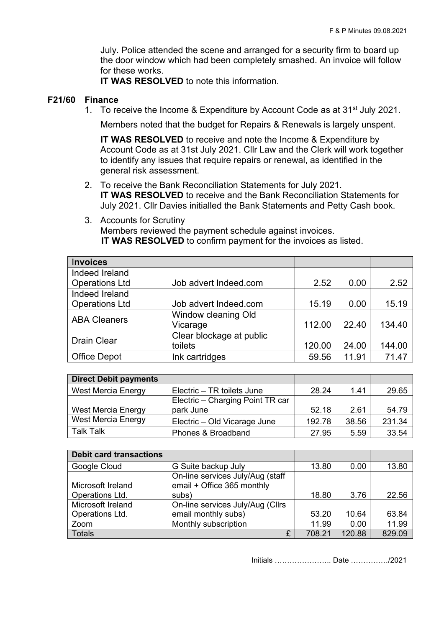July. Police attended the scene and arranged for a security firm to board up the door window which had been completely smashed. An invoice will follow for these works.

**IT WAS RESOLVED** to note this information.

#### **F21/60 Finance**

1. To receive the Income & Expenditure by Account Code as at 31<sup>st</sup> July 2021.

Members noted that the budget for Repairs & Renewals is largely unspent.

**IT WAS RESOLVED** to receive and note the Income & Expenditure by Account Code as at 31st July 2021. Cllr Law and the Clerk will work together to identify any issues that require repairs or renewal, as identified in the general risk assessment.

- 2. To receive the Bank Reconciliation Statements for July 2021. **IT WAS RESOLVED** to receive and the Bank Reconciliation Statements for July 2021. Cllr Davies initialled the Bank Statements and Petty Cash book.
- 3. Accounts for Scrutiny Members reviewed the payment schedule against invoices. **IT WAS RESOLVED** to confirm payment for the invoices as listed.

| <b>Invoices</b>       |                          |        |       |        |
|-----------------------|--------------------------|--------|-------|--------|
| Indeed Ireland        |                          |        |       |        |
| <b>Operations Ltd</b> | Job advert Indeed.com    | 2.52   | 0.00  | 2.52   |
| Indeed Ireland        |                          |        |       |        |
| <b>Operations Ltd</b> | Job advert Indeed.com    | 15.19  | 0.00  | 15.19  |
| <b>ABA Cleaners</b>   | Window cleaning Old      |        |       |        |
|                       | Vicarage                 | 112.00 | 22.40 | 134.40 |
| <b>Drain Clear</b>    | Clear blockage at public |        |       |        |
|                       | toilets                  | 120.00 | 24.00 | 144.00 |
| <b>Office Depot</b>   | Ink cartridges           | 59.56  | 11.91 | 71.47  |

| <b>Direct Debit payments</b> |                                  |        |       |        |
|------------------------------|----------------------------------|--------|-------|--------|
| <b>West Mercia Energy</b>    | Electric - TR toilets June       | 28.24  | 1.41  | 29.65  |
|                              | Electric - Charging Point TR car |        |       |        |
| <b>West Mercia Energy</b>    | park June                        | 52.18  | 2.61  | 54.79  |
| <b>West Mercia Energy</b>    | Electric - Old Vicarage June     | 192.78 | 38.56 | 231.34 |
| <b>Talk Talk</b>             | Phones & Broadband               | 27.95  | 5.59  | 33.54  |

| <b>Debit card transactions</b> |                                  |        |        |        |
|--------------------------------|----------------------------------|--------|--------|--------|
| Google Cloud                   | G Suite backup July              | 13.80  | 0.00   | 13.80  |
|                                | On-line services July/Aug (staff |        |        |        |
| Microsoft Ireland              | email + Office 365 monthly       |        |        |        |
| Operations Ltd.                | subs)                            | 18.80  | 3.76   | 22.56  |
| Microsoft Ireland              | On-line services July/Aug (Cllrs |        |        |        |
| Operations Ltd.                | email monthly subs)              | 53.20  | 10.64  | 63.84  |
| Zoom                           | Monthly subscription             | 11.99  | 0.00   | 11.99  |
| <b>Totals</b>                  | £                                | 708.21 | 120.88 | 829.09 |

Initials ………………….. Date ……………/2021